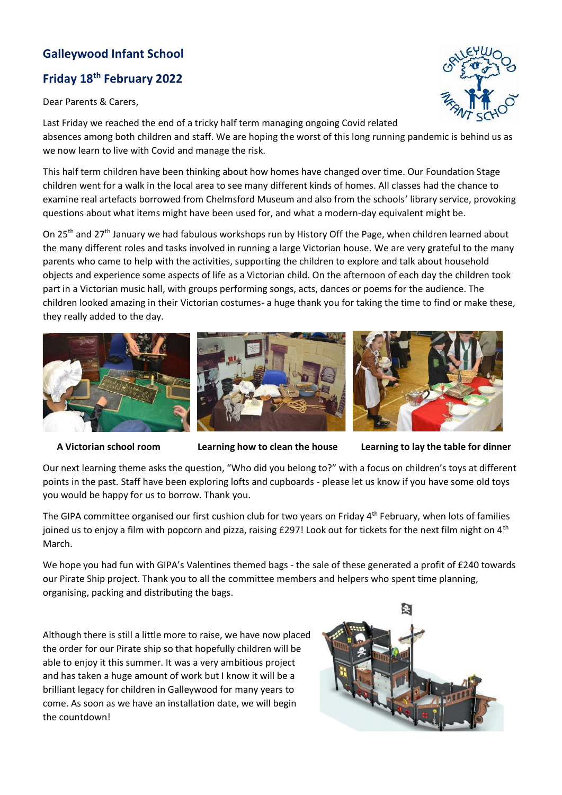## **Galleywood Infant School**

## **Friday 18th February 2022**

Dear Parents & Carers,

Last Friday we reached the end of a tricky half term managing ongoing Covid related absences among both children and staff. We are hoping the worst of this long running pandemic is behind us as we now learn to live with Covid and manage the risk.

This half term children have been thinking about how homes have changed over time. Our Foundation Stage children went for a walk in the local area to see many different kinds of homes. All classes had the chance to examine real artefacts borrowed from Chelmsford Museum and also from the schools' library service, provoking questions about what items might have been used for, and what a modern-day equivalent might be.

On 25<sup>th</sup> and 27<sup>th</sup> January we had fabulous workshops run by History Off the Page, when children learned about the many different roles and tasks involved in running a large Victorian house. We are very grateful to the many parents who came to help with the activities, supporting the children to explore and talk about household objects and experience some aspects of life as a Victorian child. On the afternoon of each day the children took part in a Victorian music hall, with groups performing songs, acts, dances or poems for the audience. The children looked amazing in their Victorian costumes- a huge thank you for taking the time to find or make these, they really added to the day.

**A Victorian school room Learning how to clean the house Learning to lay the table for dinner**

Our next learning theme asks the question, "Who did you belong to?" with a focus on children's toys at different points in the past. Staff have been exploring lofts and cupboards - please let us know if you have some old toys you would be happy for us to borrow. Thank you.

The GIPA committee organised our first cushion club for two years on Friday 4<sup>th</sup> February, when lots of families joined us to enjoy a film with popcorn and pizza, raising  $£297!$  Look out for tickets for the next film night on  $4<sup>th</sup>$ March.

We hope you had fun with GIPA's Valentines themed bags - the sale of these generated a profit of £240 towards our Pirate Ship project. Thank you to all the committee members and helpers who spent time planning, organising, packing and distributing the bags.

Although there is still a little more to raise, we have now placed the order for our Pirate ship so that hopefully children will be able to enjoy it this summer. It was a very ambitious project and has taken a huge amount of work but I know it will be a brilliant legacy for children in Galleywood for many years to come. As soon as we have an installation date, we will begin the countdown!